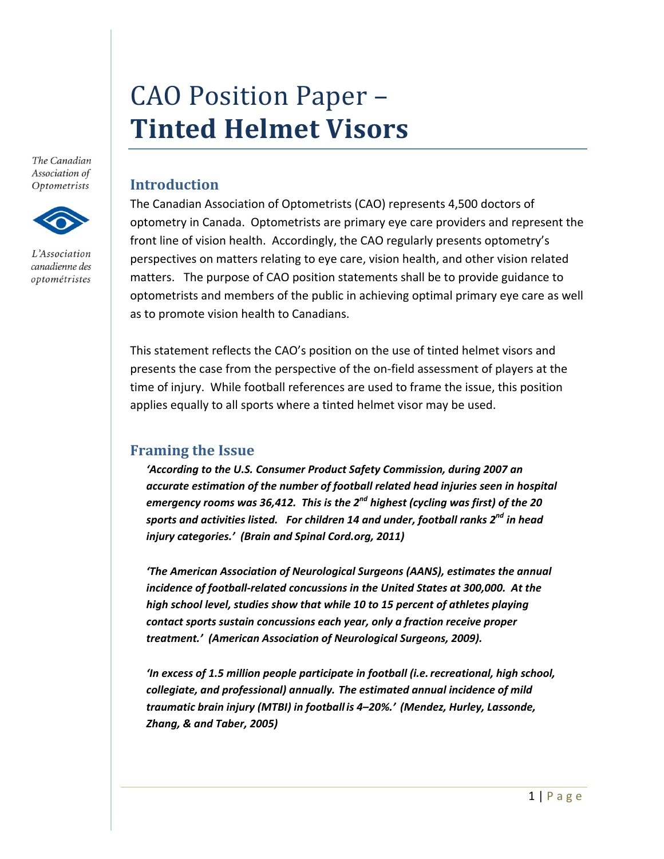# CAO Position Paper – **Tinted Helmet Visors**

The Canadian Association of Optometrists



L'Association canadienne des optométristes

## **Introduction**

The Canadian Association of Optometrists (CAO) represents 4,500 doctors of optometry in Canada. Optometrists are primary eye care providers and represent the front line of vision health. Accordingly, the CAO regularly presents optometry's perspectives on matters relating to eye care, vision health, and other vision related matters. The purpose of CAO position statements shall be to provide guidance to optometrists and members of the public in achieving optimal primary eye care as well as to promote vision health to Canadians.

This statement reflects the CAO's position on the use of tinted helmet visors and presents the case from the perspective of the on‐field assessment of players at the time of injury. While football references are used to frame the issue, this position applies equally to all sports where a tinted helmet visor may be used.

### **Framing the Issue**

*'According to the U.S. Consumer Product Safety Commission, during 2007 an accurate estimation of the number of football related head injuries seen in hospital emergency rooms was 36,412. This is the 2nd highest (cycling was first) of the 20 sports and activities listed. For children 14 and under, football ranks 2nd in head injury categories.' (Brain and Spinal Cord.org, 2011)*

*'The American Association of Neurological Surgeons (AANS), estimates the annual incidence of football‐related concussions in the United States at 300,000. At the high school level, studies show that while 10 to 15 percent of athletes playing contact sports sustain concussions each year, only a fraction receive proper treatment.' (American Association of Neurological Surgeons, 2009).*

*'In excess of 1.5 million people participate in football (i.e.recreational, high school, collegiate, and professional) annually. The estimated annual incidence of mild traumatic brain injury (MTBI) in football is 4–20%.' (Mendez, Hurley, Lassonde, Zhang, & and Taber, 2005)*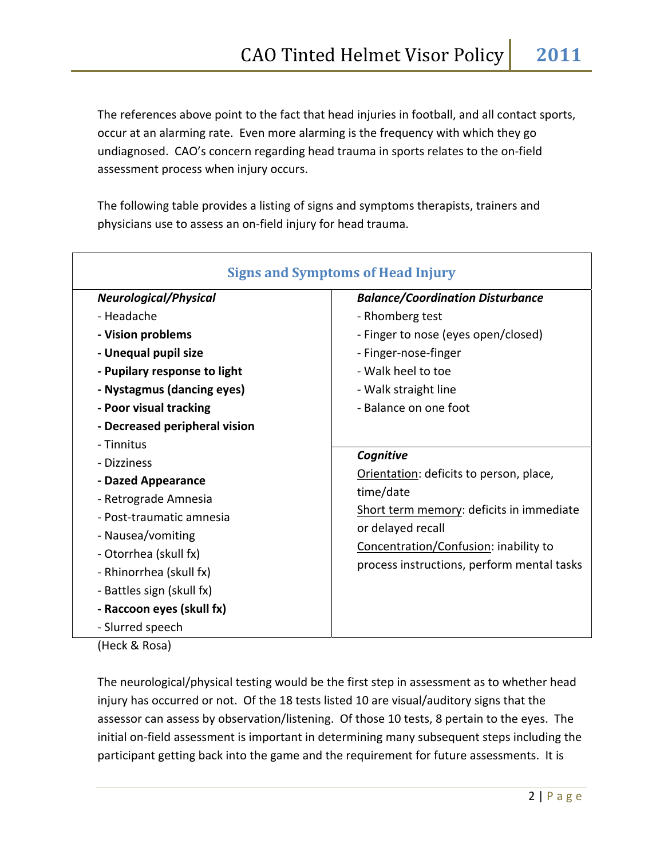The references above point to the fact that head injuries in football, and all contact sports, occur at an alarming rate. Even more alarming is the frequency with which they go undiagnosed. CAO's concern regarding head trauma in sports relates to the on‐field assessment process when injury occurs.

The following table provides a listing of signs and symptoms therapists, trainers and physicians use to assess an on‐field injury for head trauma.

| <b>Signs and Symptoms of Head Injury</b> |                                            |
|------------------------------------------|--------------------------------------------|
| <b>Neurological/Physical</b>             | <b>Balance/Coordination Disturbance</b>    |
| - Headache                               | - Rhomberg test                            |
| - Vision problems                        | - Finger to nose (eyes open/closed)        |
| - Unequal pupil size                     | - Finger-nose-finger                       |
| - Pupilary response to light             | - Walk heel to toe                         |
| - Nystagmus (dancing eyes)               | - Walk straight line                       |
| - Poor visual tracking                   | - Balance on one foot                      |
| - Decreased peripheral vision            |                                            |
| - Tinnitus                               |                                            |
| - Dizziness                              | Cognitive                                  |
| - Dazed Appearance                       | Orientation: deficits to person, place,    |
| - Retrograde Amnesia                     | time/date                                  |
| - Post-traumatic amnesia                 | Short term memory: deficits in immediate   |
| - Nausea/vomiting                        | or delayed recall                          |
| - Otorrhea (skull fx)                    | Concentration/Confusion: inability to      |
| - Rhinorrhea (skull fx)                  | process instructions, perform mental tasks |
| - Battles sign (skull fx)                |                                            |
| - Raccoon eyes (skull fx)                |                                            |
| - Slurred speech                         |                                            |

(Heck & Rosa)

The neurological/physical testing would be the first step in assessment as to whether head injury has occurred or not. Of the 18 tests listed 10 are visual/auditory signs that the assessor can assess by observation/listening. Of those 10 tests, 8 pertain to the eyes. The initial on‐field assessment is important in determining many subsequent steps including the participant getting back into the game and the requirement for future assessments. It is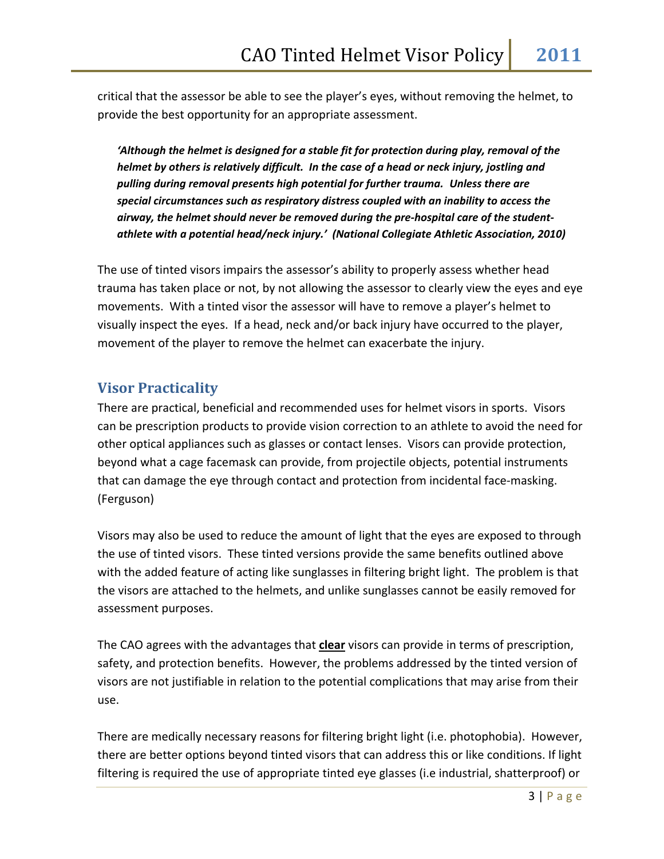critical that the assessor be able to see the player's eyes, without removing the helmet, to provide the best opportunity for an appropriate assessment.

*'Although the helmet is designed for a stable fit for protection during play, removal of the helmet by others is relatively difficult. In the case of a head or neck injury, jostling and pulling during removal presents high potential for further trauma. Unless there are special circumstances such as respiratory distress coupled with an inability to access the airway, the helmet should never be removed during the pre‐hospital care of the student‐ athlete with a potential head/neck injury.' (National Collegiate Athletic Association, 2010)*

The use of tinted visors impairs the assessor's ability to properly assess whether head trauma has taken place or not, by not allowing the assessor to clearly view the eyes and eye movements. With a tinted visor the assessor will have to remove a player's helmet to visually inspect the eyes. If a head, neck and/or back injury have occurred to the player, movement of the player to remove the helmet can exacerbate the injury.

#### **Visor Practicality**

There are practical, beneficial and recommended uses for helmet visors in sports. Visors can be prescription products to provide vision correction to an athlete to avoid the need for other optical appliances such as glasses or contact lenses. Visors can provide protection, beyond what a cage facemask can provide, from projectile objects, potential instruments that can damage the eye through contact and protection from incidental face‐masking. (Ferguson)

Visors may also be used to reduce the amount of light that the eyes are exposed to through the use of tinted visors. These tinted versions provide the same benefits outlined above with the added feature of acting like sunglasses in filtering bright light. The problem is that the visors are attached to the helmets, and unlike sunglasses cannot be easily removed for assessment purposes.

The CAO agrees with the advantages that **clear** visors can provide in terms of prescription, safety, and protection benefits. However, the problems addressed by the tinted version of visors are not justifiable in relation to the potential complications that may arise from their use.

There are medically necessary reasons for filtering bright light (i.e. photophobia). However, there are better options beyond tinted visors that can address this or like conditions. If light filtering is required the use of appropriate tinted eye glasses (i.e industrial, shatterproof) or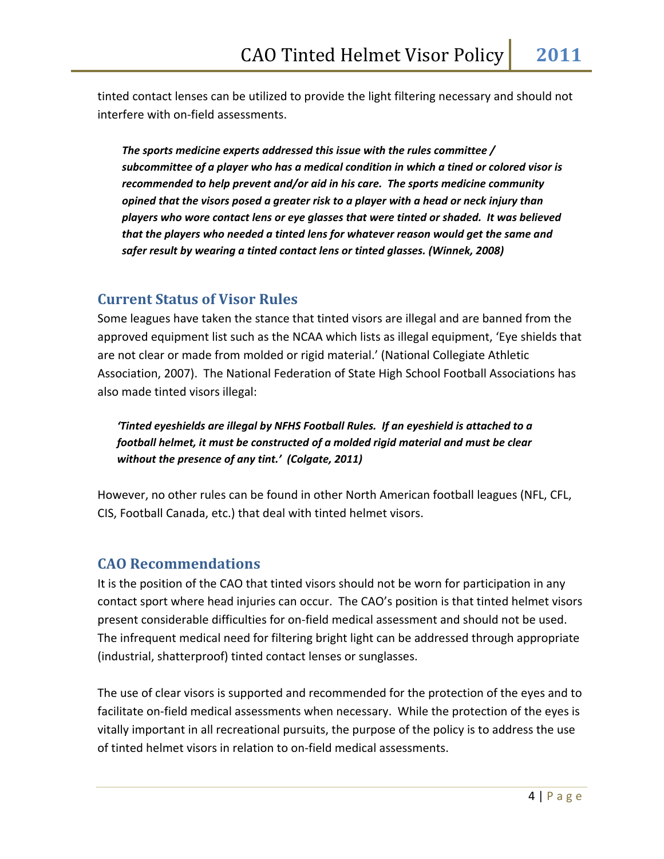tinted contact lenses can be utilized to provide the light filtering necessary and should not interfere with on‐field assessments.

*The sports medicine experts addressed this issue with the rules committee / subcommittee of a player who has a medical condition in which a tined or colored visor is recommended to help prevent and/or aid in his care. The sports medicine community opined that the visors posed a greater risk to a player with a head or neck injury than players who wore contact lens or eye glasses that were tinted or shaded. It was believed that the players who needed a tinted lens for whatever reason would get the same and safer result by wearing a tinted contact lens or tinted glasses. (Winnek, 2008)* 

### **Current Status of Visor Rules**

Some leagues have taken the stance that tinted visors are illegal and are banned from the approved equipment list such as the NCAA which lists as illegal equipment, 'Eye shields that are not clear or made from molded or rigid material.' (National Collegiate Athletic Association, 2007). The National Federation of State High School Football Associations has also made tinted visors illegal:

*'Tinted eyeshields are illegal by NFHS Football Rules. If an eyeshield is attached to a football helmet, it must be constructed of a molded rigid material and must be clear without the presence of any tint.' (Colgate, 2011)*

However, no other rules can be found in other North American football leagues (NFL, CFL, CIS, Football Canada, etc.) that deal with tinted helmet visors.

### **CAO Recommendations**

It is the position of the CAO that tinted visors should not be worn for participation in any contact sport where head injuries can occur. The CAO's position is that tinted helmet visors present considerable difficulties for on‐field medical assessment and should not be used. The infrequent medical need for filtering bright light can be addressed through appropriate (industrial, shatterproof) tinted contact lenses or sunglasses.

The use of clear visors is supported and recommended for the protection of the eyes and to facilitate on‐field medical assessments when necessary. While the protection of the eyes is vitally important in all recreational pursuits, the purpose of the policy is to address the use of tinted helmet visors in relation to on‐field medical assessments.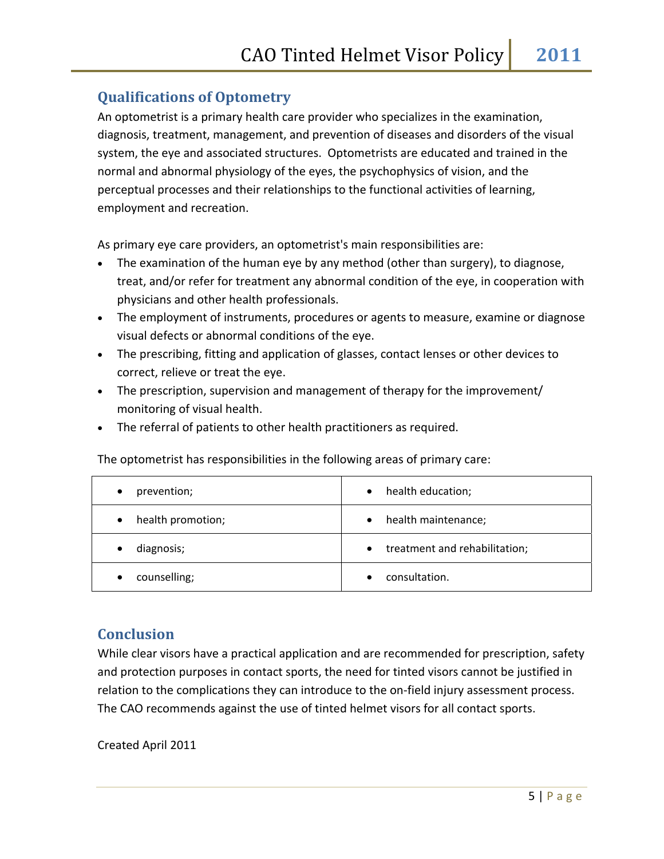### **Qualifications of Optometry**

An optometrist is a primary health care provider who specializes in the examination, diagnosis, treatment, management, and prevention of diseases and disorders of the visual system, the eye and associated structures. Optometrists are educated and trained in the normal and abnormal physiology of the eyes, the psychophysics of vision, and the perceptual processes and their relationships to the functional activities of learning, employment and recreation.

As primary eye care providers, an optometrist's main responsibilities are:

- The examination of the human eye by any method (other than surgery), to diagnose, treat, and/or refer for treatment any abnormal condition of the eye, in cooperation with physicians and other health professionals.
- The employment of instruments, procedures or agents to measure, examine or diagnose visual defects or abnormal conditions of the eye.
- The prescribing, fitting and application of glasses, contact lenses or other devices to correct, relieve or treat the eye.
- The prescription, supervision and management of therapy for the improvement/ monitoring of visual health.
- The referral of patients to other health practitioners as required.

The optometrist has responsibilities in the following areas of primary care:

| prevention;       | health education;                          |
|-------------------|--------------------------------------------|
| $\bullet$         | $\bullet$                                  |
| health promotion; | health maintenance;                        |
| $\bullet$         | $\bullet$                                  |
| diagnosis;        | treatment and rehabilitation;<br>$\bullet$ |
| counselling;      | consultation.                              |

### **Conclusion**

While clear visors have a practical application and are recommended for prescription, safety and protection purposes in contact sports, the need for tinted visors cannot be justified in relation to the complications they can introduce to the on-field injury assessment process. The CAO recommends against the use of tinted helmet visors for all contact sports.

Created April 2011